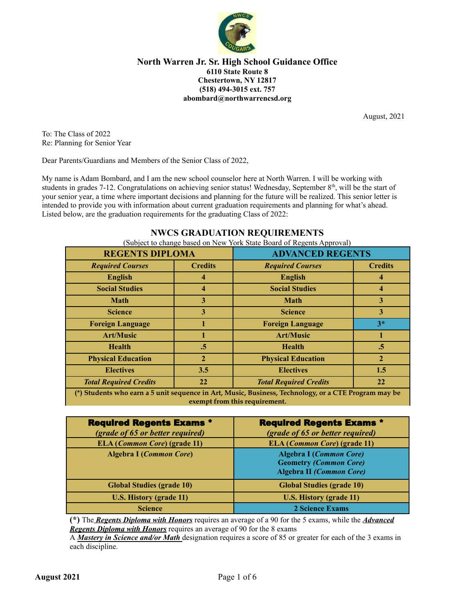

August, 2021

To: The Class of 2022 Re: Planning for Senior Year

Dear Parents/Guardians and Members of the Senior Class of 2022,

My name is Adam Bombard, and I am the new school counselor here at North Warren. I will be working with students in grades 7-12. Congratulations on achieving senior status! Wednesday, September 8<sup>th</sup>, will be the start of your senior year, a time where important decisions and planning for the future will be realized. This senior letter is intended to provide you with information about current graduation requirements and planning for what's ahead. Listed below, are the graduation requirements for the graduating Class of 2022:

# **NWCS GRADUATION REQUIREMENTS** (Subject to change based on New York State Board of Regents Approval) **REGENTS DIPLOMA ADVANCED REGENTS**

| <b>REGENTS DIPLOMA</b>                                                               |                | <b>ADVANCED REGENTS</b>       |                |
|--------------------------------------------------------------------------------------|----------------|-------------------------------|----------------|
| <b>Required Courses</b>                                                              | <b>Credits</b> | <b>Required Courses</b>       | <b>Credits</b> |
| <b>English</b>                                                                       | 4              | <b>English</b>                | 4              |
| <b>Social Studies</b>                                                                | 4              | <b>Social Studies</b>         | 4              |
| <b>Math</b>                                                                          | 3              | <b>Math</b>                   | 3              |
| <b>Science</b>                                                                       | 3              | <b>Science</b>                | 3              |
| <b>Foreign Language</b>                                                              |                | <b>Foreign Language</b>       | $3*$           |
| <b>Art/Music</b>                                                                     |                | <b>Art/Music</b>              |                |
| <b>Health</b>                                                                        | $\cdot$ 5      | <b>Health</b>                 | .5             |
| <b>Physical Education</b>                                                            | $\mathbf{2}$   | <b>Physical Education</b>     | $\overline{2}$ |
| <b>Electives</b>                                                                     | 3.5            | <b>Electives</b>              | 1.5            |
| <b>Total Required Credits</b>                                                        | 22             | <b>Total Required Credits</b> | 22             |
| $\omega \times \omega$ and $\omega$ and $\omega$ and $\omega$ and $\omega$<br>$\sim$ |                |                               |                |

**(\*) Students who earn a 5 unit sequence in Art, Music, Business, Technology, or a CTE Program may be exempt from this requirement.**

| <b>Required Regents Exams *</b>              | <b>Required Regents Exams *</b>                                                                    |
|----------------------------------------------|----------------------------------------------------------------------------------------------------|
| (grade of 65 or better required)             | (grade of 65 or better required)                                                                   |
| <b>ELA</b> ( <i>Common Core</i> ) (grade 11) | <b>ELA</b> ( <i>Common Core</i> ) (grade 11)                                                       |
| <b>Algebra I (Common Core)</b>               | <b>Algebra I (Common Core)</b><br><b>Geometry (Common Core)</b><br><b>Algebra II (Common Core)</b> |
| <b>Global Studies (grade 10)</b>             | <b>Global Studies (grade 10)</b>                                                                   |
| <b>U.S. History (grade 11)</b>               | <b>U.S. History (grade 11)</b>                                                                     |
| <b>Science</b>                               | <b>2 Science Exams</b>                                                                             |

**(\*)** The *Regents Diploma with Honors* requires an average of a 90 for the 5 exams, while the *Advanced Regents Diploma with Honors* requires an average of 90 for the 8 exams

A *Mastery in Science and/or Math* designation requires a score of 85 or greater for each of the 3 exams in each discipline.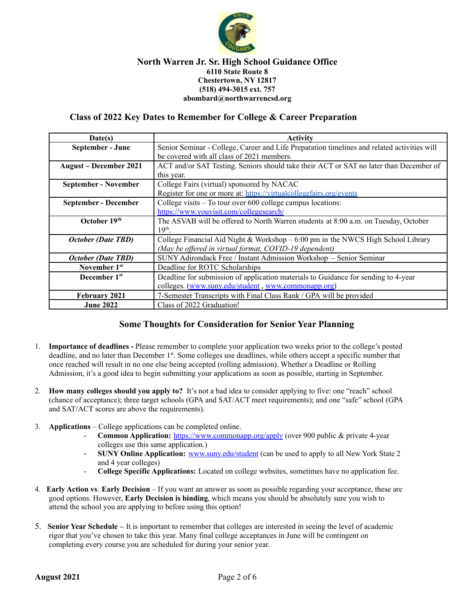

### **Class of 2022 Key Dates to Remember for College & Career Preparation**

| Date(s)                       | Activity                                                                                    |
|-------------------------------|---------------------------------------------------------------------------------------------|
| September - June              | Senior Seminar - College, Career and Life Preparation timelines and related activities will |
|                               | be covered with all class of 2021 members.                                                  |
| <b>August</b> – December 2021 | ACT and/or SAT Testing. Seniors should take their ACT or SAT no later than December of      |
|                               | this year.                                                                                  |
| <b>September - November</b>   | College Fairs (virtual) sponsored by NACAC                                                  |
|                               | Register for one or more at: https://virtualcollegefairs.org/events                         |
| September - December          | College visits – To tour over 600 college campus locations:                                 |
|                               | https://www.youvisit.com/collegesearch/                                                     |
| October 19th                  | The ASVAB will be offered to North Warren students at 8:00 a.m. on Tuesday, October         |
|                               | $19th$ .                                                                                    |
| <b>October (Date TBD)</b>     | College Financial Aid Night & Workshop - 6:00 pm in the NWCS High School Library            |
|                               | (May be offered in virtual format, COVID-19 dependent)                                      |
| October (Date TBD)            | SUNY Adirondack Free / Instant Admission Workshop - Senior Seminar                          |
| November 1 <sup>st</sup>      | Deadline for ROTC Scholarships                                                              |
| December 1 <sup>st</sup>      | Deadline for submission of application materials to Guidance for sending to 4-year          |
|                               | colleges. (www.suny.edu/student, www.commonapp.org)                                         |
| <b>February 2021</b>          | 7-Semester Transcripts with Final Class Rank / GPA will be provided                         |
| <b>June 2022</b>              | Class of 2022 Graduation!                                                                   |

# **Some Thoughts for Consideration for Senior Year Planning**

- 1. **Importance of deadlines -** Please remember to complete your application two weeks prior to the college's posted deadline, and no later than December 1<sup>st</sup>. Some colleges use deadlines, while others accept a specific number that once reached will result in no one else being accepted (rolling admission). Whether a Deadline or Rolling Admission, it's a good idea to begin submitting your applications as soon as possible, starting in September.
- 2. **How many colleges should you apply to?** It's not a bad idea to consider applying to five: one "reach" school (chance of acceptance); three target schools (GPA and SAT/ACT meet requirements); and one "safe" school (GPA and SAT/ACT scores are above the requirements).
- 3. **Applications** College applications can be completed online.
	- **Common Application:** <https://www.commonapp.org/apply> (over 900 public & private 4-year colleges use this same application.)
	- **SUNY Online Application:** [www.suny.edu/student](http://www.suny.edu/student) (can be used to apply to all New York State 2 and 4 year colleges)
	- **College Specific Applications:** Located on college websites, sometimes have no application fee.
- 4. **Early Action vs**. **Early Decision** If you want an answer as soon as possible regarding your acceptance, these are good options. However, **Early Decision is binding**, which means you should be absolutely sure you wish to attend the school you are applying to before using this option!
- 5. **Senior Year Schedule –** It is important to remember that colleges are interested in seeing the level of academic rigor that you've chosen to take this year. Many final college acceptances in June will be contingent on completing every course you are scheduled for during your senior year.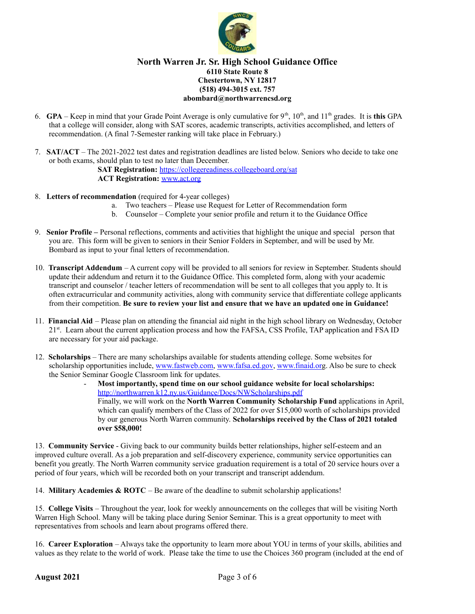

- 6. **GPA** Keep in mind that your Grade Point Average is only cumulative for  $9<sup>th</sup>$ ,  $10<sup>th</sup>$ , and  $11<sup>th</sup>$  grades. It is **this** GPA that a college will consider, along with SAT scores, academic transcripts, activities accomplished, and letters of recommendation. (A final 7-Semester ranking will take place in February.)
- 7. **SAT/ACT** The 2021-2022 test dates and registration deadlines are listed below. Seniors who decide to take one or both exams, should plan to test no later than December.

**SAT Registration:** <https://collegereadiness.collegeboard.org/sat> **ACT Registration:** [www.act.org](http://www.actstudent.org)

- 8. **Letters of recommendation** (required for 4-year colleges)
	- a. Two teachers Please use Request for Letter of Recommendation form
	- b. Counselor Complete your senior profile and return it to the Guidance Office
- 9. **Senior Profile –** Personal reflections, comments and activities that highlight the unique and special person that you are. This form will be given to seniors in their Senior Folders in September, and will be used by Mr. Bombard as input to your final letters of recommendation.
- 10. **Transcript Addendum** A current copy will be provided to all seniors for review in September. Students should update their addendum and return it to the Guidance Office. This completed form, along with your academic transcript and counselor / teacher letters of recommendation will be sent to all colleges that you apply to. It is often extracurricular and community activities, along with community service that differentiate college applicants from their competition. **Be sure to review your list and ensure that we have an updated one in Guidance!**
- 11. **Financial Aid** Please plan on attending the financial aid night in the high school library on Wednesday, October 21<sup>st</sup>. Learn about the current application process and how the FAFSA, CSS Profile, TAP application and FSA ID are necessary for your aid package.
- 12. **Scholarships** There are many scholarships available for students attending college. Some websites for scholarship opportunities include, [www.fastweb.com](http://www.fastweb.com), [www.fafsa.ed.gov](http://www.fafsa.ed.gov), [www.finaid.or](http://www.finaid.org)g. Also be sure to check the Senior Seminar Google Classroom link for updates.
	- **Most importantly, spend time on our school guidance website for local scholarships:** <http://northwarren.k12.ny.us/Guidance/Docs/NWScholarships.pdf> Finally, we will work on the **North Warren Community Scholarship Fund** applications in April, which can qualify members of the Class of 2022 for over \$15,000 worth of scholarships provided by our generous North Warren community. **Scholarships received by the Class of 2021 totaled over \$58,000!**

13. **Community Service** - Giving back to our community builds better relationships, higher self-esteem and an improved culture overall. As a job preparation and self-discovery experience, community service opportunities can benefit you greatly. The North Warren community service graduation requirement is a total of 20 service hours over a period of four years, which will be recorded both on your transcript and transcript addendum.

14. **Military Academies & ROTC** – Be aware of the deadline to submit scholarship applications!

15. **College Visits** – Throughout the year, look for weekly announcements on the colleges that will be visiting North Warren High School. Many will be taking place during Senior Seminar. This is a great opportunity to meet with representatives from schools and learn about programs offered there.

16. **Career Exploration** – Always take the opportunity to learn more about YOU in terms of your skills, abilities and values as they relate to the world of work. Please take the time to use the Choices 360 program (included at the end of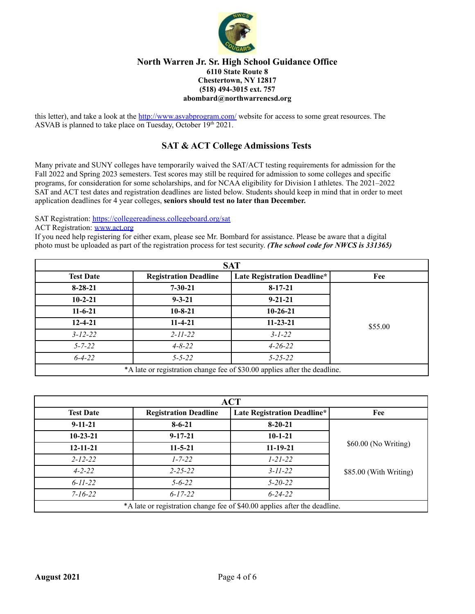

this letter), and take a look at the http://www.asvabprogram.com/ website for access to some great resources. The ASVAB is planned to take place on Tuesday, October 19<sup>th</sup> 2021.

# **SAT & ACT College Admissions Tests**

Many private and SUNY colleges have temporarily waived the SAT/ACT testing requirements for admission for the Fall 2022 and Spring 2023 semesters. Test scores may still be required for admission to some colleges and specific programs, for consideration for some scholarships, and for NCAA eligibility for Division I athletes. The 2021–2022 SAT and ACT test dates and registration deadlines are listed below. Students should keep in mind that in order to meet application deadlines for 4 year colleges, **seniors should test no later than December.**

SAT Registration: <https://collegereadiness.collegeboard.org/sat>

ACT Registration: [www.act.org](http://www.actstudent.org)

If you need help registering for either exam, please see Mr. Bombard for assistance. Please be aware that a digital photo must be uploaded as part of the registration process for test security. *(The school code for NWCS is 331365)*

|                  |                              | <b>SAT</b>                                                                |         |
|------------------|------------------------------|---------------------------------------------------------------------------|---------|
| <b>Test Date</b> | <b>Registration Deadline</b> | <b>Late Registration Deadline*</b>                                        | Fee     |
| $8 - 28 - 21$    | $7 - 30 - 21$                | $8 - 17 - 21$                                                             |         |
| $10 - 2 - 21$    | $9 - 3 - 21$                 | $9 - 21 - 21$                                                             |         |
| $11-6-21$        | $10 - 8 - 21$                | $10-26-21$                                                                |         |
| $12 - 4 - 21$    | $11-4-21$                    | $11 - 23 - 21$                                                            | \$55.00 |
| $3 - 12 - 22$    | $2 - 11 - 22$                | $3 - 1 - 22$                                                              |         |
| $5 - 7 - 22$     | $4 - 8 - 22$                 | $4 - 26 - 22$                                                             |         |
| $6 - 4 - 22$     | $5 - 5 - 22$                 | $5 - 25 - 22$                                                             |         |
|                  |                              | *A late or registration change fee of \$30.00 applies after the deadline. |         |

| <b>ACT</b>       |                              |                                                                           |                        |
|------------------|------------------------------|---------------------------------------------------------------------------|------------------------|
| <b>Test Date</b> | <b>Registration Deadline</b> | <b>Late Registration Deadline*</b>                                        | Fee                    |
| $9 - 11 - 21$    | $8 - 6 - 21$                 | $8-20-21$                                                                 |                        |
| $10-23-21$       | $9 - 17 - 21$                | $10-1-21$                                                                 | \$60.00 (No Writing)   |
| $12 - 11 - 21$   | $11 - 5 - 21$                | $11 - 19 - 21$                                                            |                        |
| $2 - 12 - 22$    | $1 - 7 - 22$                 | $1 - 21 - 22$                                                             |                        |
| $4 - 2 - 22$     | $2 - 25 - 22$                | $3 - 11 - 22$                                                             | \$85.00 (With Writing) |
| $6 - 11 - 22$    | $5 - 6 - 22$                 | $5 - 20 - 22$                                                             |                        |
| $7 - 16 - 22$    | $6 - 17 - 22$                | $6 - 24 - 22$                                                             |                        |
|                  |                              | *A late or registration change fee of \$40.00 applies after the deadline. |                        |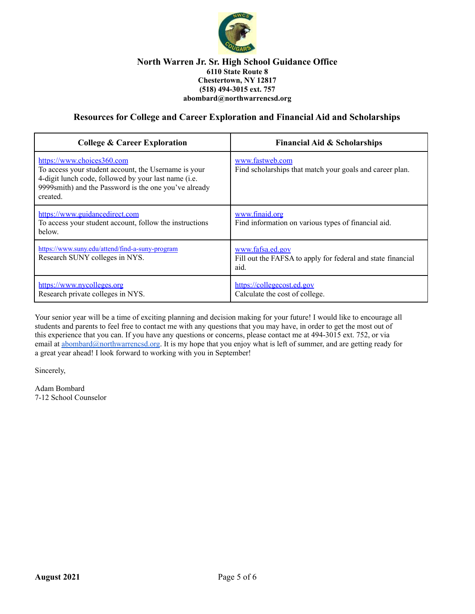

## **Resources for College and Career Exploration and Financial Aid and Scholarships**

| <b>College &amp; Career Exploration</b>                                                                                                                                                                         | <b>Financial Aid &amp; Scholarships</b>                                                 |
|-----------------------------------------------------------------------------------------------------------------------------------------------------------------------------------------------------------------|-----------------------------------------------------------------------------------------|
| https://www.choices360.com<br>To access your student account, the Username is your<br>4-digit lunch code, followed by your last name (i.e.<br>9999smith) and the Password is the one you've already<br>created. | www.fastweb.com<br>Find scholarships that match your goals and career plan.             |
| https://www.guidancedirect.com<br>To access your student account, follow the instructions<br>below.                                                                                                             | www.finaid.org<br>Find information on various types of financial aid.                   |
| https://www.suny.edu/attend/find-a-suny-program<br>Research SUNY colleges in NYS.                                                                                                                               | www.fafsa.ed.gov<br>Fill out the FAFSA to apply for federal and state financial<br>aid. |
| https://www.nycolleges.org<br>Research private colleges in NYS.                                                                                                                                                 | https://collegecost.ed.gov<br>Calculate the cost of college.                            |

Your senior year will be a time of exciting planning and decision making for your future! I would like to encourage all students and parents to feel free to contact me with any questions that you may have, in order to get the most out of this experience that you can. If you have any questions or concerns, please contact me at 494-3015 ext. 752, or via email at [abombard@northwarrencsd.org](mailto:abombard@northwarrencsd.org). It is my hope that you enjoy what is left of summer, and are getting ready for a great year ahead! I look forward to working with you in September!

Sincerely,

Adam Bombard 7-12 School Counselor